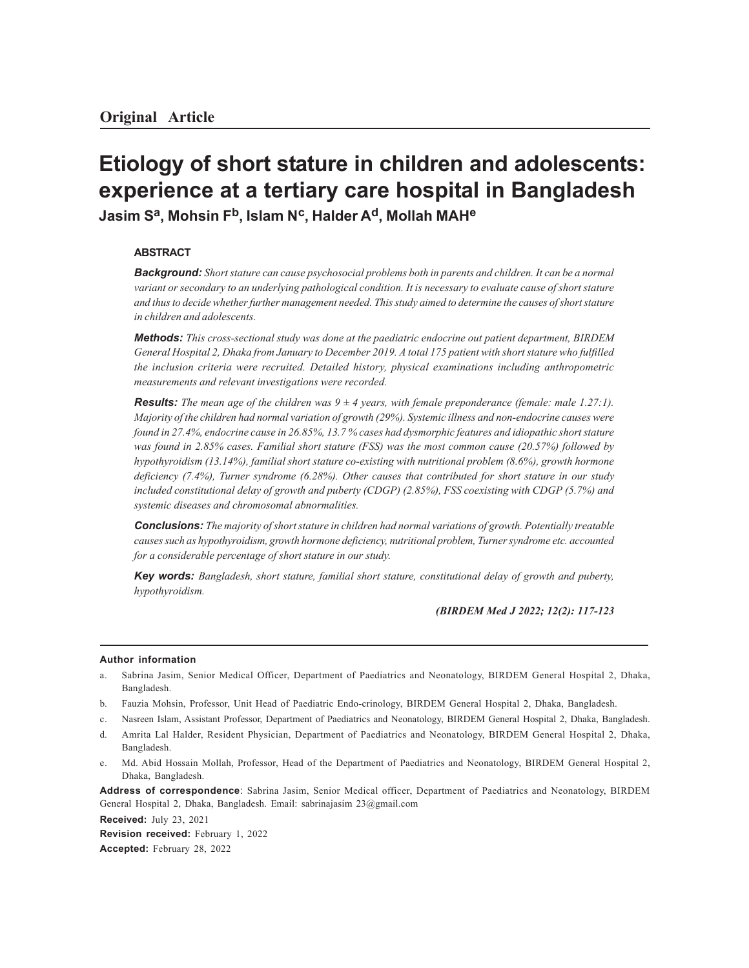# **Etiology of short stature in children and adolescents: experience at a tertiary care hospital in Bangladesh Jasim S<sup>a</sup> , Mohsin Fb, Islam N<sup>c</sup> , Halder Ad, Mollah MAH<sup>e</sup>**

## **ABSTRACT**

*Background: Short stature can cause psychosocial problems both in parents and children. It can be a normal variant or secondary to an underlying pathological condition. It is necessary to evaluate cause of short stature and thus to decide whether further management needed. This study aimed to determine the causes of short stature in children and adolescents.*

*Methods: This cross-sectional study was done at the paediatric endocrine out patient department, BIRDEM General Hospital 2, Dhaka from January to December 2019. A total 175 patient with short stature who fulfilled the inclusion criteria were recruited. Detailed history, physical examinations including anthropometric measurements and relevant investigations were recorded.*

**Results:** The mean age of the children was  $9 \pm 4$  years, with female preponderance (female: male 1.27:1). *Majority of the children had normal variation of growth (29%). Systemic illness and non-endocrine causes were found in 27.4%, endocrine cause in 26.85%, 13.7 % cases had dysmorphic features and idiopathic short stature was found in 2.85% cases. Familial short stature (FSS) was the most common cause (20.57%) followed by hypothyroidism (13.14%), familial short stature co-existing with nutritional problem (8.6%), growth hormone deficiency (7.4%), Turner syndrome (6.28%). Other causes that contributed for short stature in our study included constitutional delay of growth and puberty (CDGP) (2.85%), FSS coexisting with CDGP (5.7%) and systemic diseases and chromosomal abnormalities.*

*Conclusions: The majority of short stature in children had normal variations of growth. Potentially treatable causes such as hypothyroidism, growth hormone deficiency, nutritional problem, Turner syndrome etc. accounted for a considerable percentage of short stature in our study.*

*Key words: Bangladesh, short stature, familial short stature, constitutional delay of growth and puberty, hypothyroidism.*

*(BIRDEM Med J 2022; 12(2): 117-123*

#### **Author information**

- a. Sabrina Jasim, Senior Medical Officer, Department of Paediatrics and Neonatology, BIRDEM General Hospital 2, Dhaka, Bangladesh.
- b. Fauzia Mohsin, Professor, Unit Head of Paediatric Endo-crinology, BIRDEM General Hospital 2, Dhaka, Bangladesh.
- c. Nasreen Islam, Assistant Professor, Department of Paediatrics and Neonatology, BIRDEM General Hospital 2, Dhaka, Bangladesh.
- d. Amrita Lal Halder, Resident Physician, Department of Paediatrics and Neonatology, BIRDEM General Hospital 2, Dhaka, Bangladesh.
- e. Md. Abid Hossain Mollah, Professor, Head of the Department of Paediatrics and Neonatology, BIRDEM General Hospital 2, Dhaka, Bangladesh.

**Address of correspondence**: Sabrina Jasim, Senior Medical officer, Department of Paediatrics and Neonatology, BIRDEM General Hospital 2, Dhaka, Bangladesh. Email: sabrinajasim 23@gmail.com

**Received:** July 23, 2021

**Revision received:** February 1, 2022 **Accepted:** February 28, 2022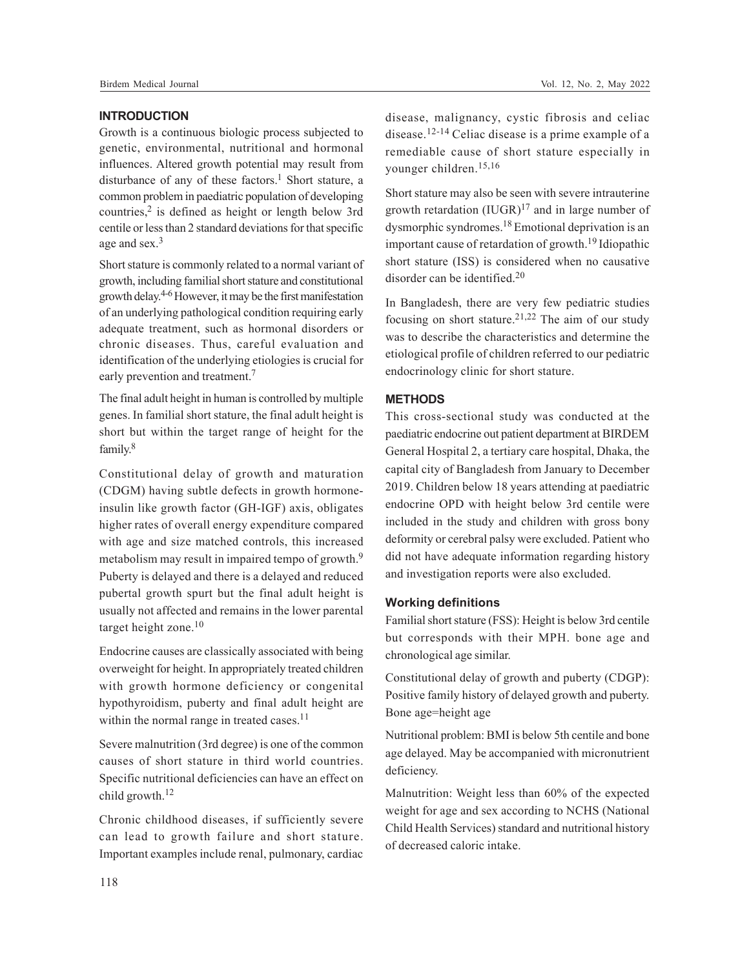## **INTRODUCTION**

Growth is a continuous biologic process subjected to genetic, environmental, nutritional and hormonal influences. Altered growth potential may result from disturbance of any of these factors.<sup>1</sup> Short stature, a common problem in paediatric population of developing countries,<sup>2</sup> is defined as height or length below 3rd centile or less than 2 standard deviations for that specific age and sex.<sup>3</sup>

Short stature is commonly related to a normal variant of growth, including familial short stature and constitutional growth delay. 4-6 However, it may be the first manifestation of an underlying pathological condition requiring early adequate treatment, such as hormonal disorders or chronic diseases. Thus, careful evaluation and identification of the underlying etiologies is crucial for early prevention and treatment.<sup>7</sup>

The final adult height in human is controlled by multiple genes. In familial short stature, the final adult height is short but within the target range of height for the family.<sup>8</sup>

Constitutional delay of growth and maturation (CDGM) having subtle defects in growth hormoneinsulin like growth factor (GH-IGF) axis, obligates higher rates of overall energy expenditure compared with age and size matched controls, this increased metabolism may result in impaired tempo of growth.<sup>9</sup> Puberty is delayed and there is a delayed and reduced pubertal growth spurt but the final adult height is usually not affected and remains in the lower parental target height zone.<sup>10</sup>

Endocrine causes are classically associated with being overweight for height. In appropriately treated children with growth hormone deficiency or congenital hypothyroidism, puberty and final adult height are within the normal range in treated cases.<sup>11</sup>

Severe malnutrition (3rd degree) is one of the common causes of short stature in third world countries. Specific nutritional deficiencies can have an effect on child growth.<sup>12</sup>

Chronic childhood diseases, if sufficiently severe can lead to growth failure and short stature. Important examples include renal, pulmonary, cardiac

disease, malignancy, cystic fibrosis and celiac disease.12-14 Celiac disease is a prime example of a remediable cause of short stature especially in younger children.15,16

Short stature may also be seen with severe intrauterine growth retardation  $(IVGR)^{17}$  and in large number of dysmorphic syndromes.18 Emotional deprivation is an important cause of retardation of growth.19 Idiopathic short stature (ISS) is considered when no causative disorder can be identified.<sup>20</sup>

In Bangladesh, there are very few pediatric studies focusing on short stature.<sup>21,22</sup> The aim of our study was to describe the characteristics and determine the etiological profile of children referred to our pediatric endocrinology clinic for short stature.

## **METHODS**

This cross-sectional study was conducted at the paediatric endocrine out patient department at BIRDEM General Hospital 2, a tertiary care hospital, Dhaka, the capital city of Bangladesh from January to December 2019. Children below 18 years attending at paediatric endocrine OPD with height below 3rd centile were included in the study and children with gross bony deformity or cerebral palsy were excluded. Patient who did not have adequate information regarding history and investigation reports were also excluded.

#### **Working definitions**

Familial short stature (FSS): Height is below 3rd centile but corresponds with their MPH. bone age and chronological age similar.

Constitutional delay of growth and puberty (CDGP): Positive family history of delayed growth and puberty. Bone age=height age

Nutritional problem: BMI is below 5th centile and bone age delayed. May be accompanied with micronutrient deficiency.

Malnutrition: Weight less than 60% of the expected weight for age and sex according to NCHS (National Child Health Services) standard and nutritional history of decreased caloric intake.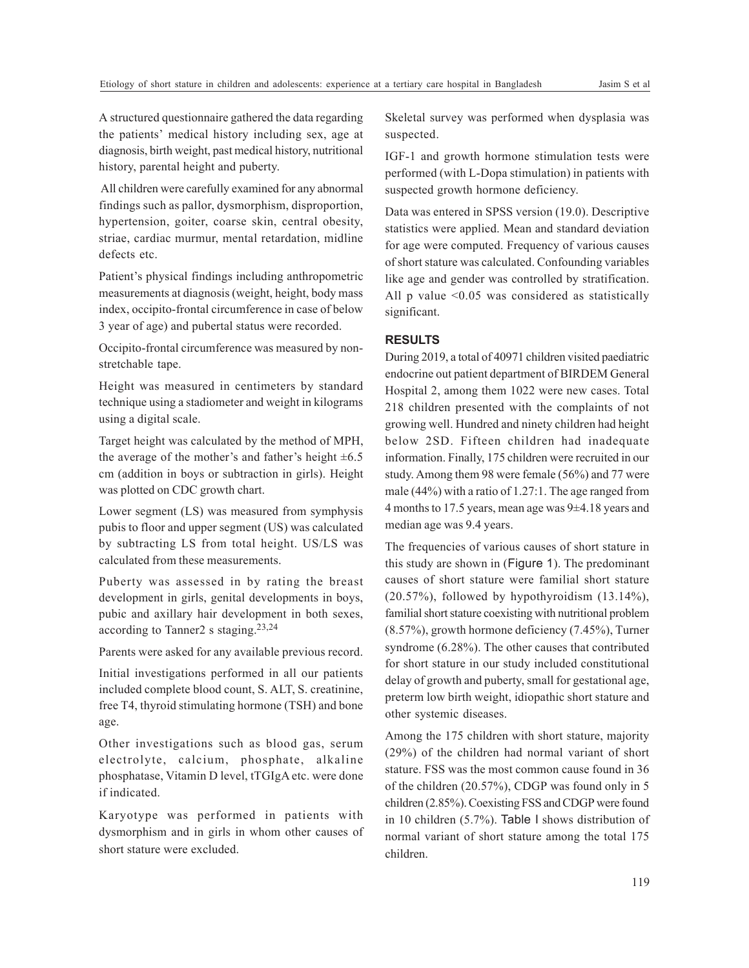A structured questionnaire gathered the data regarding the patients' medical history including sex, age at diagnosis, birth weight, past medical history, nutritional history, parental height and puberty.

All children were carefully examined for any abnormal findings such as pallor, dysmorphism, disproportion, hypertension, goiter, coarse skin, central obesity, striae, cardiac murmur, mental retardation, midline defects etc.

Patient's physical findings including anthropometric measurements at diagnosis (weight, height, body mass index, occipito-frontal circumference in case of below 3 year of age) and pubertal status were recorded.

Occipito-frontal circumference was measured by nonstretchable tape.

Height was measured in centimeters by standard technique using a stadiometer and weight in kilograms using a digital scale.

Target height was calculated by the method of MPH, the average of the mother's and father's height  $\pm 6.5$ cm (addition in boys or subtraction in girls). Height was plotted on CDC growth chart.

Lower segment (LS) was measured from symphysis pubis to floor and upper segment (US) was calculated by subtracting LS from total height. US/LS was calculated from these measurements.

Puberty was assessed in by rating the breast development in girls, genital developments in boys, pubic and axillary hair development in both sexes, according to Tanner2 s staging.23,24

Parents were asked for any available previous record.

Initial investigations performed in all our patients included complete blood count, S. ALT, S. creatinine, free T4, thyroid stimulating hormone (TSH) and bone age.

Other investigations such as blood gas, serum electrolyte, calcium, phosphate, alkaline phosphatase, Vitamin D level, tTGIgA etc. were done if indicated.

Karyotype was performed in patients with dysmorphism and in girls in whom other causes of short stature were excluded.

Skeletal survey was performed when dysplasia was suspected.

IGF-1 and growth hormone stimulation tests were performed (with L-Dopa stimulation) in patients with suspected growth hormone deficiency.

Data was entered in SPSS version (19.0). Descriptive statistics were applied. Mean and standard deviation for age were computed. Frequency of various causes of short stature was calculated. Confounding variables like age and gender was controlled by stratification. All p value <0.05 was considered as statistically significant.

#### **RESULTS**

During 2019, a total of 40971 children visited paediatric endocrine out patient department of BIRDEM General Hospital 2, among them 1022 were new cases. Total 218 children presented with the complaints of not growing well. Hundred and ninety children had height below 2SD. Fifteen children had inadequate information. Finally, 175 children were recruited in our study. Among them 98 were female (56%) and 77 were male (44%) with a ratio of 1.27:1. The age ranged from 4 months to 17.5 years, mean age was 9±4.18 years and median age was 9.4 years.

The frequencies of various causes of short stature in this study are shown in (Figure 1). The predominant causes of short stature were familial short stature (20.57%), followed by hypothyroidism (13.14%), familial short stature coexisting with nutritional problem (8.57%), growth hormone deficiency (7.45%), Turner syndrome (6.28%). The other causes that contributed for short stature in our study included constitutional delay of growth and puberty, small for gestational age, preterm low birth weight, idiopathic short stature and other systemic diseases.

Among the 175 children with short stature, majority (29%) of the children had normal variant of short stature. FSS was the most common cause found in 36 of the children (20.57%), CDGP was found only in 5 children (2.85%). Coexisting FSS and CDGP were found in 10 children (5.7%). Table I shows distribution of normal variant of short stature among the total 175 children.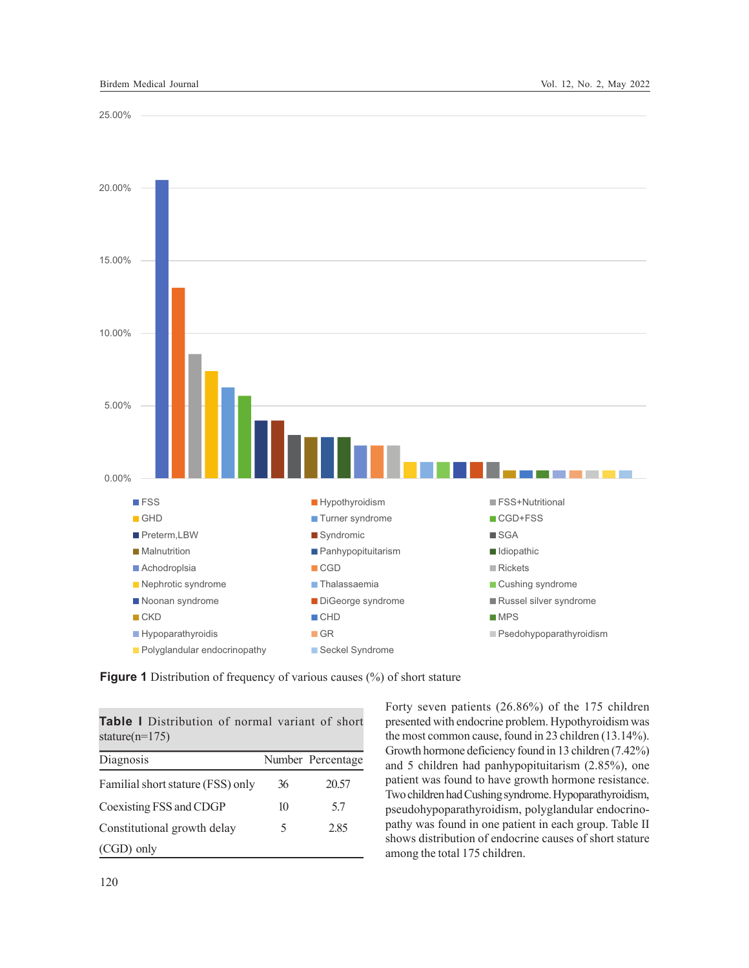25.00%





**Figure 1** Distribution of frequency of various causes (%) of short stature

| <b>Table I</b> Distribution of normal variant of short<br>stature( $n=175$ ) |    |                   |  |
|------------------------------------------------------------------------------|----|-------------------|--|
| Diagnosis                                                                    |    | Number Percentage |  |
| Familial short stature (FSS) only                                            | 36 | 20.57             |  |
| Coexisting FSS and CDGP                                                      | 10 | 5.7               |  |
| Constitutional growth delay                                                  | 5  | 2.85              |  |
| $(CGD)$ only                                                                 |    |                   |  |

Forty seven patients (26.86%) of the 175 children presented with endocrine problem. Hypothyroidism was the most common cause, found in 23 children (13.14%). Growth hormone deficiency found in 13 children (7.42%) and 5 children had panhypopituitarism (2.85%), one patient was found to have growth hormone resistance. Two children had Cushing syndrome. Hypoparathyroidism, pseudohypoparathyroidism, polyglandular endocrinopathy was found in one patient in each group. Table II shows distribution of endocrine causes of short stature among the total 175 children.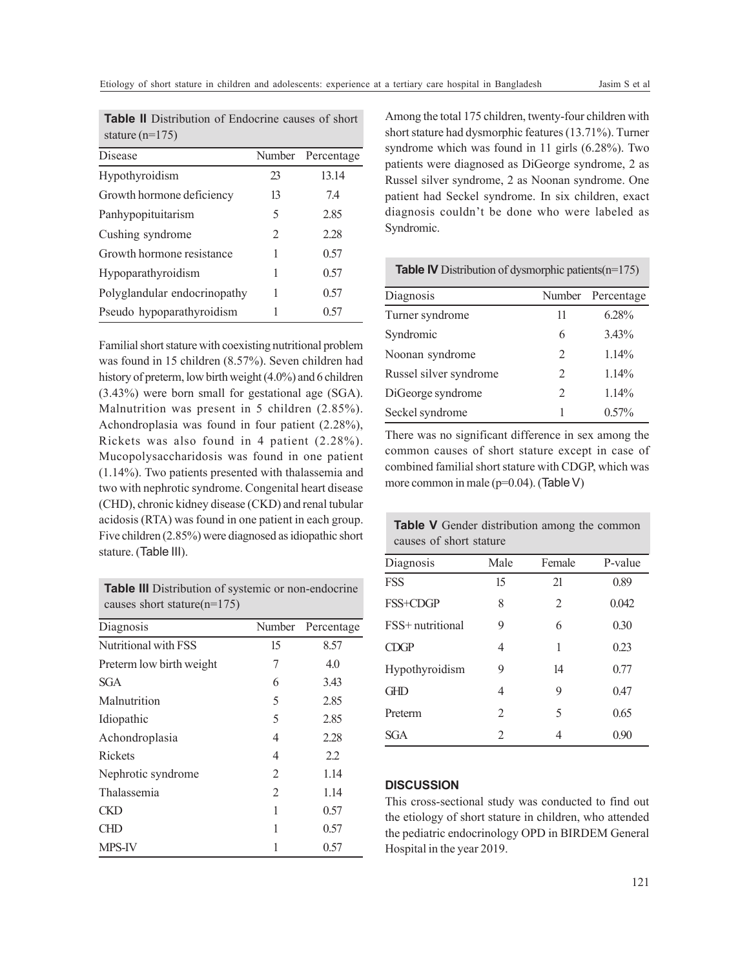| stature $(n=175)$            |        |            |  |
|------------------------------|--------|------------|--|
| Disease                      | Number | Percentage |  |
| Hypothyroidism               | 23     | 13.14      |  |
| Growth hormone deficiency    | 13     | 7.4        |  |
| Panhypopituitarism           | 5      | 2.85       |  |
| Cushing syndrome             | 2      | 2.28       |  |
| Growth hormone resistance    | 1      | 0.57       |  |
| Hypoparathyroidism           | 1      | 0.57       |  |
| Polyglandular endocrinopathy | 1      | 0.57       |  |
| Pseudo hypoparathyroidism    | 1      | 0.57       |  |

**Table II** Distribution of Endocrine causes of short

Familial short stature with coexisting nutritional problem was found in 15 children (8.57%). Seven children had history of preterm, low birth weight (4.0%) and 6 children (3.43%) were born small for gestational age (SGA). Malnutrition was present in 5 children (2.85%). Achondroplasia was found in four patient (2.28%), Rickets was also found in 4 patient (2.28%). Mucopolysaccharidosis was found in one patient (1.14%). Two patients presented with thalassemia and two with nephrotic syndrome. Congenital heart disease (CHD), chronic kidney disease (CKD) and renal tubular acidosis (RTA) was found in one patient in each group. Five children (2.85%) were diagnosed as idiopathic short stature. (Table III).

**Table III** Distribution of systemic or non-endocrine causes short stature(n=175)

| Diagnosis                | Number | Percentage |
|--------------------------|--------|------------|
| Nutritional with FSS     | 15     | 8.57       |
| Preterm low birth weight | 7      | 4.0        |
| <b>SGA</b>               | 6      | 3.43       |
| Malnutrition             | 5      | 2.85       |
| Idiopathic               | 5      | 2.85       |
| Achondroplasia           | 4      | 2.28       |
| Rickets                  | 4      | 2.2        |
| Nephrotic syndrome       | 2      | 1.14       |
| Thalassemia              | 2      | 1.14       |
| CKD                      | 1      | 0.57       |
| CHD                      | 1      | 0.57       |
| MPS-IV                   |        | 0.57       |

Among the total 175 children, twenty-four children with short stature had dysmorphic features (13.71%). Turner syndrome which was found in 11 girls (6.28%). Two patients were diagnosed as DiGeorge syndrome, 2 as Russel silver syndrome, 2 as Noonan syndrome. One patient had Seckel syndrome. In six children, exact diagnosis couldn't be done who were labeled as Syndromic.

#### **Table IV** Distribution of dysmorphic patients(n=175)

| Diagnosis              |                | Number Percentage |
|------------------------|----------------|-------------------|
| Turner syndrome        | 11             | 6.28%             |
| Syndromic              | 6              | $3.43\%$          |
| Noonan syndrome        | 2              | 1.14%             |
| Russel silver syndrome | 2              | 1.14%             |
| DiGeorge syndrome      | $\overline{2}$ | 1.14%             |
| Seckel syndrome        |                | $0.57\%$          |

There was no significant difference in sex among the common causes of short stature except in case of combined familial short stature with CDGP, which was more common in male (p=0.04). (Table V)

**Table V** Gender distribution among the common causes of short stature

| Diagnosis        | Male           | Female | P-value |
|------------------|----------------|--------|---------|
| <b>FSS</b>       | 15             | 21     | 0.89    |
| FSS+CDGP         | 8              | 2      | 0.042   |
| FSS+ nutritional | 9              | 6      | 0.30    |
| CDGP             | 4              | 1      | 0.23    |
| Hypothyroidism   | 9              | 14     | 0.77    |
| GHD              | 4              | 9      | 0.47    |
| Preterm          | 2              | 5      | 0.65    |
| <b>SGA</b>       | $\mathfrak{D}$ | 4      | 0.90    |
|                  |                |        |         |

## **DISCUSSION**

This cross-sectional study was conducted to find out the etiology of short stature in children, who attended the pediatric endocrinology OPD in BIRDEM General Hospital in the year 2019.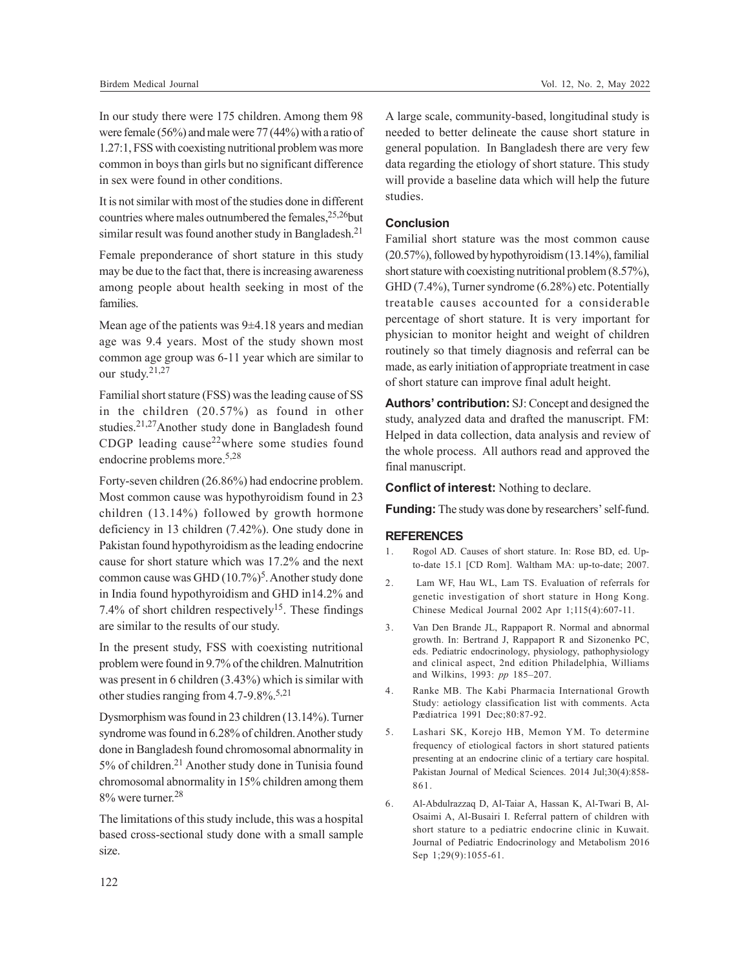In our study there were 175 children. Among them 98 were female (56%) and male were 77 (44%) with a ratio of 1.27:1, FSS with coexisting nutritional problem was more common in boys than girls but no significant difference in sex were found in other conditions.

It is not similar with most of the studies done in different countries where males outnumbered the females,  $25,26$ but similar result was found another study in Bangladesh.<sup>21</sup>

Female preponderance of short stature in this study may be due to the fact that, there is increasing awareness among people about health seeking in most of the families.

Mean age of the patients was  $9\pm4.18$  years and median age was 9.4 years. Most of the study shown most common age group was 6-11 year which are similar to our study. 21,27

Familial short stature (FSS) was the leading cause of SS in the children (20.57%) as found in other studies.21,27Another study done in Bangladesh found CDGP leading cause<sup>22</sup>where some studies found endocrine problems more.5,28

Forty-seven children (26.86%) had endocrine problem. Most common cause was hypothyroidism found in 23 children (13.14%) followed by growth hormone deficiency in 13 children (7.42%). One study done in Pakistan found hypothyroidism as the leading endocrine cause for short stature which was 17.2% and the next common cause was GHD (10.7%)<sup>5</sup>. Another study done in India found hypothyroidism and GHD in14.2% and 7.4% of short children respectively<sup>15</sup>. These findings are similar to the results of our study.

In the present study, FSS with coexisting nutritional problem were found in 9.7% of the children. Malnutrition was present in 6 children (3.43%) which is similar with other studies ranging from 4.7-9.8%.<sup>5,21</sup>

Dysmorphism was found in 23 children (13.14%). Turner syndrome was found in 6.28% of children. Another study done in Bangladesh found chromosomal abnormality in 5% of children.<sup>21</sup> Another study done in Tunisia found chromosomal abnormality in 15% children among them 8% were turner. 28

The limitations of this study include, this was a hospital based cross-sectional study done with a small sample size.

A large scale, community-based, longitudinal study is needed to better delineate the cause short stature in general population. In Bangladesh there are very few data regarding the etiology of short stature. This study will provide a baseline data which will help the future studies.

## **Conclusion**

Familial short stature was the most common cause (20.57%), followed by hypothyroidism (13.14%), familial short stature with coexisting nutritional problem (8.57%), GHD (7.4%), Turner syndrome (6.28%) etc. Potentially treatable causes accounted for a considerable percentage of short stature. It is very important for physician to monitor height and weight of children routinely so that timely diagnosis and referral can be made, as early initiation of appropriate treatment in case of short stature can improve final adult height.

**Authors' contribution:** SJ: Concept and designed the study, analyzed data and drafted the manuscript. FM: Helped in data collection, data analysis and review of the whole process. All authors read and approved the final manuscript.

**Conflict of interest:** Nothing to declare.

**Funding:** The study was done by researchers' self-fund.

### **REFERENCES**

- 1. Rogol AD. Causes of short stature. In: Rose BD, ed. Upto-date 15.1 [CD Rom]. Waltham MA: up-to-date; 2007.
- 2. Lam WF, Hau WL, Lam TS. Evaluation of referrals for genetic investigation of short stature in Hong Kong. Chinese Medical Journal 2002 Apr 1;115(4):607-11.
- 3. Van Den Brande JL, Rappaport R. Normal and abnormal growth. In: Bertrand J, Rappaport R and Sizonenko PC, eds. Pediatric endocrinology, physiology, pathophysiology and clinical aspect, 2nd edition Philadelphia, Williams and Wilkins, 1993: *pp* 185–207.
- 4. Ranke MB. The Kabi Pharmacia International Growth Study: aetiology classification list with comments. Acta Pædiatrica 1991 Dec;80:87-92.
- 5. Lashari SK, Korejo HB, Memon YM. To determine frequency of etiological factors in short statured patients presenting at an endocrine clinic of a tertiary care hospital. Pakistan Journal of Medical Sciences. 2014 Jul;30(4):858- 861.
- 6. Al-Abdulrazzaq D, Al-Taiar A, Hassan K, Al-Twari B, Al-Osaimi A, Al-Busairi I. Referral pattern of children with short stature to a pediatric endocrine clinic in Kuwait. Journal of Pediatric Endocrinology and Metabolism 2016 Sep 1;29(9):1055-61.